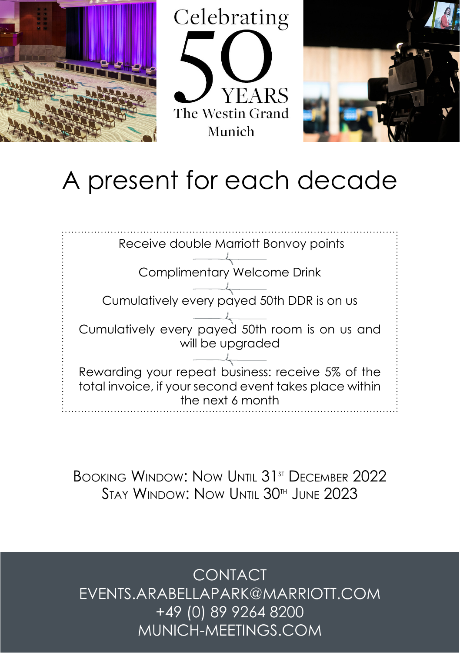





## A present for each decade



BOOKING WINDOW: NOW UNTIL 31<sup>st</sup> DECEMBER 2022 Stay Window: Now Until 30th June 2023

CONTACT EVENTS.ARABELLAPARK@MARRIOTT.COM +49 (0) 89 9264 8200 MUNICH-MEETINGS.COM